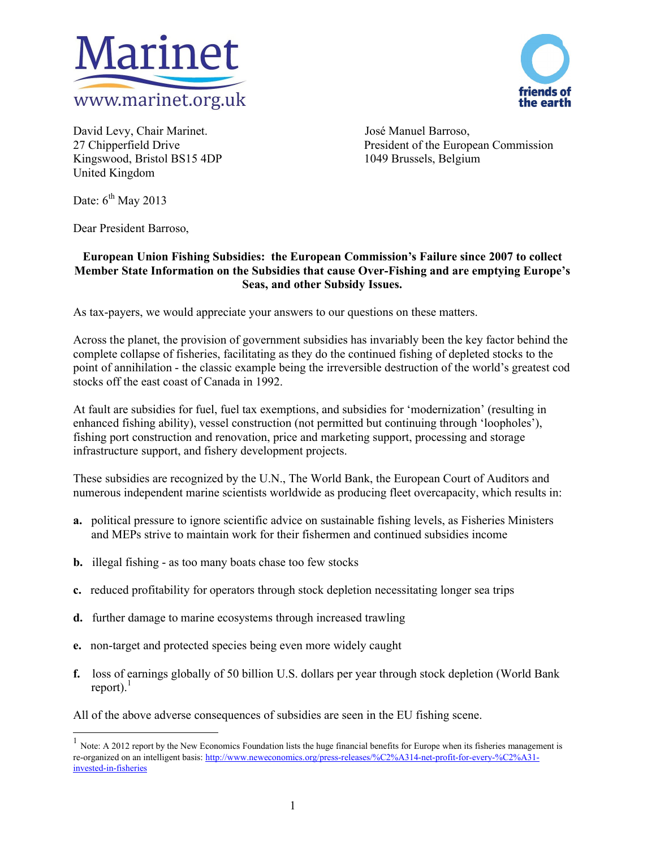



David Levy, Chair Marinet. José Manuel Barroso, Kingswood, Bristol BS15 4DP 1049 Brussels, Belgium United Kingdom

27 Chipperfield Drive President of the European Commission

Date:  $6^{th}$  May 2013

 $\overline{\phantom{a}}$ 

Dear President Barroso,

# **European Union Fishing Subsidies: the European Commission's Failure since 2007 to collect Member State Information on the Subsidies that cause Over-Fishing and are emptying Europe's Seas, and other Subsidy Issues.**

As tax-payers, we would appreciate your answers to our questions on these matters.

Across the planet, the provision of government subsidies has invariably been the key factor behind the complete collapse of fisheries, facilitating as they do the continued fishing of depleted stocks to the point of annihilation - the classic example being the irreversible destruction of the world's greatest cod stocks off the east coast of Canada in 1992.

At fault are subsidies for fuel, fuel tax exemptions, and subsidies for 'modernization' (resulting in enhanced fishing ability), vessel construction (not permitted but continuing through 'loopholes'), fishing port construction and renovation, price and marketing support, processing and storage infrastructure support, and fishery development projects.

These subsidies are recognized by the U.N., The World Bank, the European Court of Auditors and numerous independent marine scientists worldwide as producing fleet overcapacity, which results in:

- **a.** political pressure to ignore scientific advice on sustainable fishing levels, as Fisheries Ministers and MEPs strive to maintain work for their fishermen and continued subsidies income
- **b.** illegal fishing as too many boats chase too few stocks
- **c.** reduced profitability for operators through stock depletion necessitating longer sea trips
- **d.** further damage to marine ecosystems through increased trawling
- **e.** non-target and protected species being even more widely caught
- **f.** loss of earnings globally of 50 billion U.S. dollars per year through stock depletion (World Bank report). $<sup>1</sup>$ </sup>

All of the above adverse consequences of subsidies are seen in the EU fishing scene.

Note: A 2012 report by the New Economics Foundation lists the huge financial benefits for Europe when its fisheries management is re-organized on an intelligent basis: http://www.neweconomics.org/press-releases/%C2%A314-net-profit-for-every-%C2%A31 invested-in-fisheries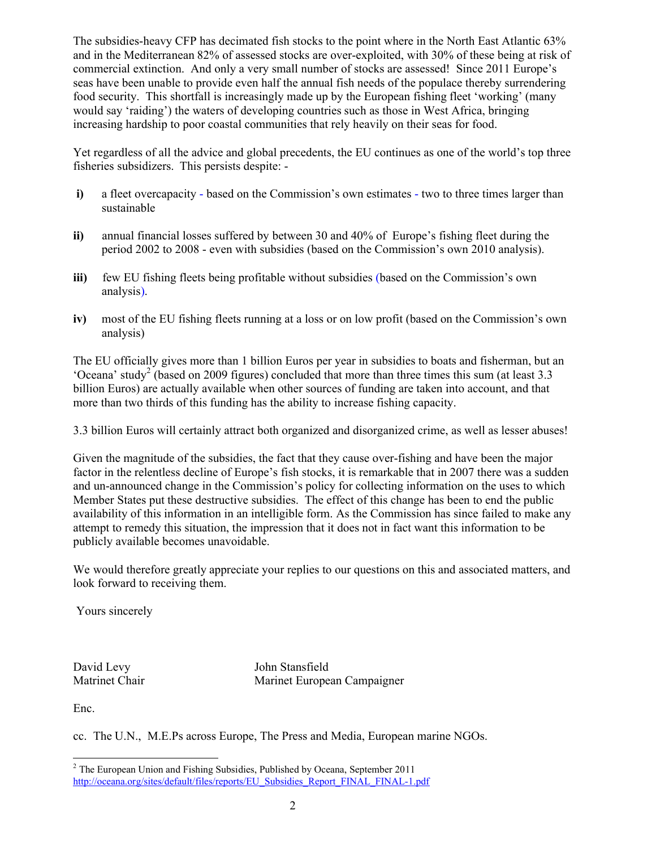The subsidies-heavy CFP has decimated fish stocks to the point where in the North East Atlantic 63% and in the Mediterranean 82% of assessed stocks are over-exploited, with 30% of these being at risk of commercial extinction. And only a very small number of stocks are assessed! Since 2011 Europe's seas have been unable to provide even half the annual fish needs of the populace thereby surrendering food security. This shortfall is increasingly made up by the European fishing fleet 'working' (many would say 'raiding') the waters of developing countries such as those in West Africa, bringing increasing hardship to poor coastal communities that rely heavily on their seas for food.

Yet regardless of all the advice and global precedents, the EU continues as one of the world's top three fisheries subsidizers. This persists despite: -

- **i)** a fleet overcapacity based on the Commission's own estimates two to three times larger than sustainable
- **ii)** annual financial losses suffered by between 30 and 40% of Europe's fishing fleet during the period 2002 to 2008 - even with subsidies (based on the Commission's own 2010 analysis).
- **iii)** few EU fishing fleets being profitable without subsidies (based on the Commission's own analysis).
- **iv)** most of the EU fishing fleets running at a loss or on low profit (based on the Commission's own analysis)

The EU officially gives more than 1 billion Euros per year in subsidies to boats and fisherman, but an 'Oceana' study<sup>2</sup> (based on 2009 figures) concluded that more than three times this sum (at least 3.3 billion Euros) are actually available when other sources of funding are taken into account, and that more than two thirds of this funding has the ability to increase fishing capacity.

3.3 billion Euros will certainly attract both organized and disorganized crime, as well as lesser abuses!

Given the magnitude of the subsidies, the fact that they cause over-fishing and have been the major factor in the relentless decline of Europe's fish stocks, it is remarkable that in 2007 there was a sudden and un-announced change in the Commission's policy for collecting information on the uses to which Member States put these destructive subsidies. The effect of this change has been to end the public availability of this information in an intelligible form. As the Commission has since failed to make any attempt to remedy this situation, the impression that it does not in fact want this information to be publicly available becomes unavoidable.

We would therefore greatly appreciate your replies to our questions on this and associated matters, and look forward to receiving them.

Yours sincerely

David Levy John Stansfield Matrinet Chair Marinet European Campaigner

Enc.

 $\overline{\phantom{a}}$ 

cc. The U.N., M.E.Ps across Europe, The Press and Media, European marine NGOs.

 $2$  The European Union and Fishing Subsidies, Published by Oceana, September 2011 http://oceana.org/sites/default/files/reports/EU\_Subsidies\_Report\_FINAL\_FINAL-1.pdf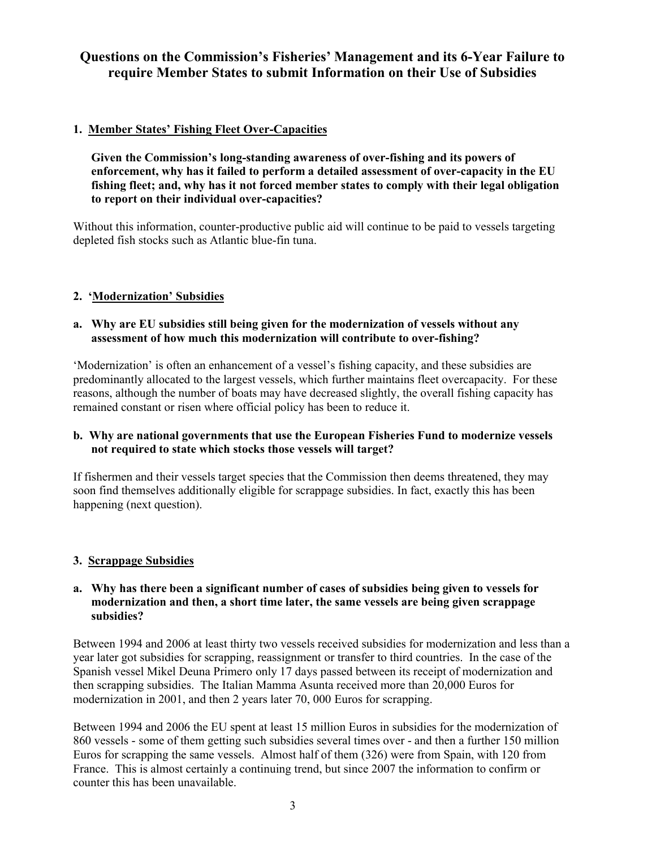# **Questions on the Commission's Fisheries' Management and its 6-Year Failure to require Member States to submit Information on their Use of Subsidies**

# **1. Member States' Fishing Fleet Over-Capacities**

**Given the Commission's long-standing awareness of over-fishing and its powers of enforcement, why has it failed to perform a detailed assessment of over-capacity in the EU fishing fleet; and, why has it not forced member states to comply with their legal obligation to report on their individual over-capacities?**

Without this information, counter-productive public aid will continue to be paid to vessels targeting depleted fish stocks such as Atlantic blue-fin tuna.

# **2. 'Modernization' Subsidies**

#### **a. Why are EU subsidies still being given for the modernization of vessels without any assessment of how much this modernization will contribute to over-fishing?**

'Modernization' is often an enhancement of a vessel's fishing capacity, and these subsidies are predominantly allocated to the largest vessels, which further maintains fleet overcapacity. For these reasons, although the number of boats may have decreased slightly, the overall fishing capacity has remained constant or risen where official policy has been to reduce it.

# **b. Why are national governments that use the European Fisheries Fund to modernize vessels not required to state which stocks those vessels will target?**

If fishermen and their vessels target species that the Commission then deems threatened, they may soon find themselves additionally eligible for scrappage subsidies. In fact, exactly this has been happening (next question).

# **3. Scrappage Subsidies**

#### **a. Why has there been a significant number of cases of subsidies being given to vessels for modernization and then, a short time later, the same vessels are being given scrappage subsidies?**

Between 1994 and 2006 at least thirty two vessels received subsidies for modernization and less than a year later got subsidies for scrapping, reassignment or transfer to third countries. In the case of the Spanish vessel Mikel Deuna Primero only 17 days passed between its receipt of modernization and then scrapping subsidies. The Italian Mamma Asunta received more than 20,000 Euros for modernization in 2001, and then 2 years later 70, 000 Euros for scrapping.

Between 1994 and 2006 the EU spent at least 15 million Euros in subsidies for the modernization of 860 vessels - some of them getting such subsidies several times over - and then a further 150 million Euros for scrapping the same vessels. Almost half of them (326) were from Spain, with 120 from France. This is almost certainly a continuing trend, but since 2007 the information to confirm or counter this has been unavailable.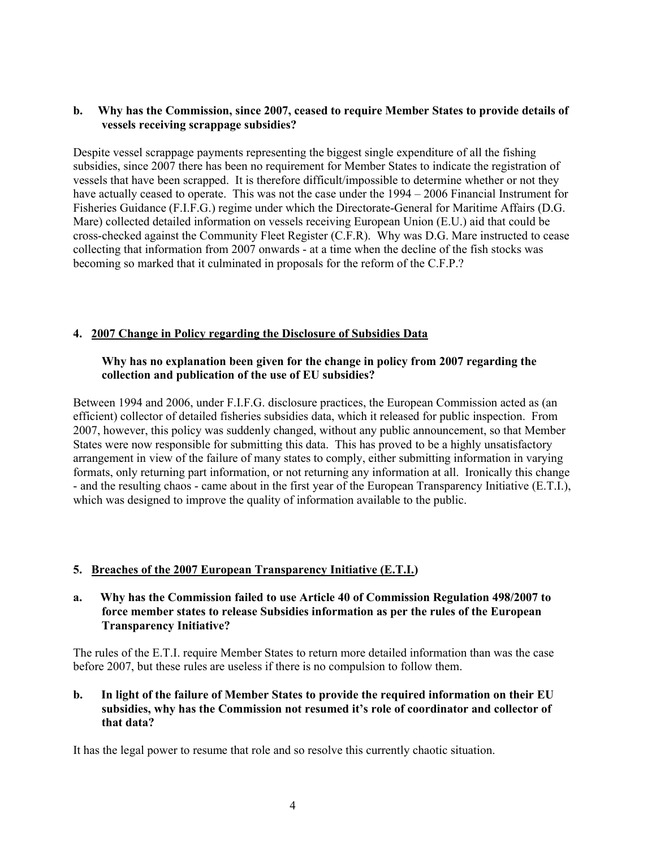#### **b. Why has the Commission, since 2007, ceased to require Member States to provide details of vessels receiving scrappage subsidies?**

Despite vessel scrappage payments representing the biggest single expenditure of all the fishing subsidies, since 2007 there has been no requirement for Member States to indicate the registration of vessels that have been scrapped. It is therefore difficult/impossible to determine whether or not they have actually ceased to operate. This was not the case under the 1994 – 2006 Financial Instrument for Fisheries Guidance (F.I.F.G.) regime under which the Directorate-General for Maritime Affairs (D.G. Mare) collected detailed information on vessels receiving European Union (E.U.) aid that could be cross-checked against the Community Fleet Register (C.F.R). Why was D.G. Mare instructed to cease collecting that information from 2007 onwards - at a time when the decline of the fish stocks was becoming so marked that it culminated in proposals for the reform of the C.F.P.?

#### **4. 2007 Change in Policy regarding the Disclosure of Subsidies Data**

#### **Why has no explanation been given for the change in policy from 2007 regarding the collection and publication of the use of EU subsidies?**

Between 1994 and 2006, under F.I.F.G. disclosure practices, the European Commission acted as (an efficient) collector of detailed fisheries subsidies data, which it released for public inspection. From 2007, however, this policy was suddenly changed, without any public announcement, so that Member States were now responsible for submitting this data. This has proved to be a highly unsatisfactory arrangement in view of the failure of many states to comply, either submitting information in varying formats, only returning part information, or not returning any information at all. Ironically this change - and the resulting chaos - came about in the first year of the European Transparency Initiative (E.T.I.), which was designed to improve the quality of information available to the public.

# **5. Breaches of the 2007 European Transparency Initiative (E.T.I.)**

#### **a. Why has the Commission failed to use Article 40 of Commission Regulation 498/2007 to force member states to release Subsidies information as per the rules of the European Transparency Initiative?**

The rules of the E.T.I. require Member States to return more detailed information than was the case before 2007, but these rules are useless if there is no compulsion to follow them.

#### **b. In light of the failure of Member States to provide the required information on their EU subsidies, why has the Commission not resumed it's role of coordinator and collector of that data?**

It has the legal power to resume that role and so resolve this currently chaotic situation.